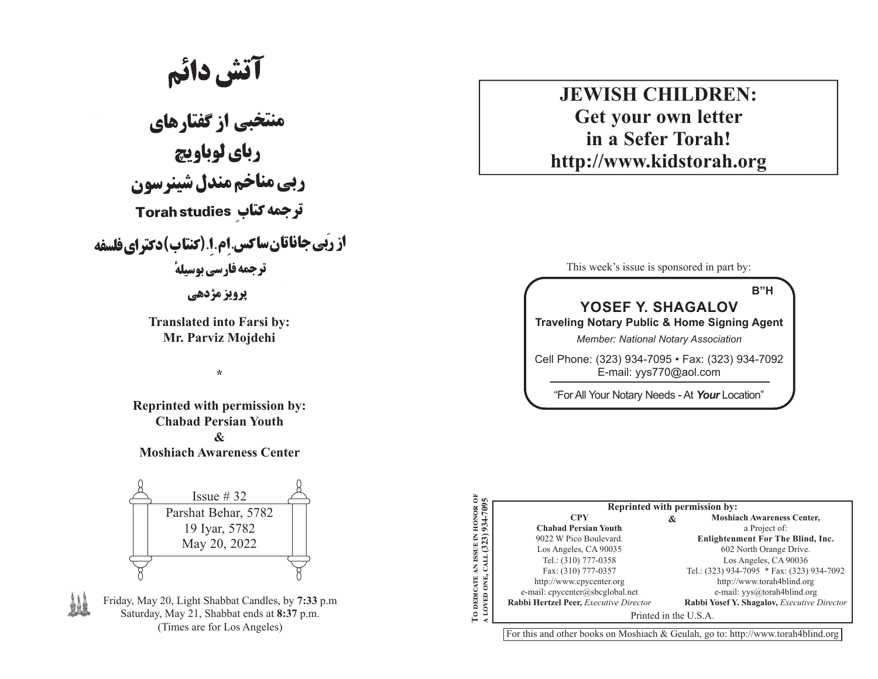# **آتش دائم**<br>منتخبی از گفتارهای

رباي لوباويچ ربي مناخم مندل شينرسون **ترجمه کتاب Torah studies** از رَبِّي جاناتان ساكس إم 1 (كنتاب) دكتراي فلسفه **ترجمه فارسی بوسیلهٔ** 

**يرويز مژدهي** 

**Translated into Farsi by: Mr. Parviz Mojdehi**

**\***

**Reprinted with permission by: Chabad Persian Youth & Moshiach Awareness Center**



Friday, May 20, Light Shabbat Candles, by **7:33** p.m Saturday, May 21, Shabbat ends at **8:37** p.m. (Times are for Los Angeles)

# **JEWISH CHILDREN:Get your own letter in a Sefer Torah!http://www.kidstorah.org**

This week's issue is sponsored in part by:

#### **B"HYOSEF Y. SHAGALOVTraveling Notary Public & Home Signing Agent** *Member: National Notary Association*

Cell Phone: (323) 934-7095 • Fax: (323) 934-7092 E-mail: yys770@aol.com

"For All Your Notary Needs - At *Your* Location"

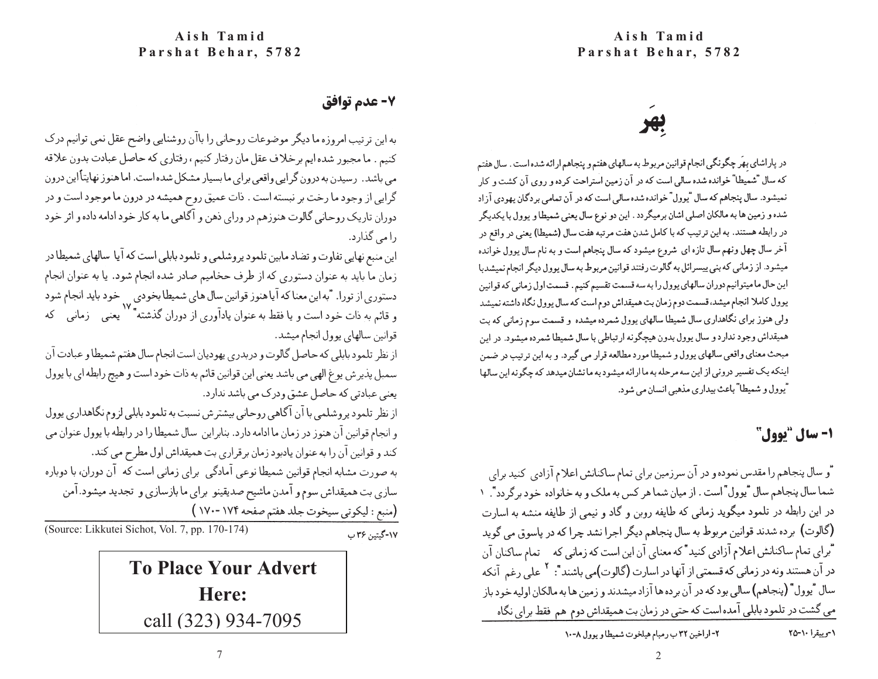## 7- عدم توافق

به این ترتیب امروزه ما دیگر موضوعات روحانی را باآن روشنایی واضح عقل نمی توانیم درک كنيم . ما مجبور شده ايم برخلاف عقل مان رفتار كنيم ، رفتاري كه حاصل عبادت بدون علاقه می باشد. رسیدن به درون گرایی واقعی برای ما بسیار مشکل شده است. اما هنوز نهایتأاین درون گرايي از وجود ما رخت بر نبسته است . ذات عميق روح هميشه در درون ما موجود است و در دوران تاریک روحانی گالوت هنوزهم در ورای ذهن و آگاهی ما به کار خود ادامه داده و اثر خود را می گذارد.

این منبع نهایی تفاوت و تضاد مابین تلمود پروشلمی و تلمود بابلی است که آیا سالهای شمیطا در زمان ما باید به عنوان دستوری که از طرف حخامیم صادر شده انجام شود. یا به عنوان انجام دستوری از تورا. "به این معنا که آیا هنوز قوانین سال های شمیطا بخودی <sub>به</sub> خود باید انجام شود و قائم به ذات خود است و یا فقط به عنوان یادآوری از دوران گذشته\* `` یعنی ﴿ زمانی ﴾ که قوانين سالهاي يوول انجام ميشد.

از نظر تلمود بابلي كه حاصل گالوت و دربدري يهوديان است انجام سال هفتم شميطا و عبادت آن سمبل پذيرش يوغ الهي مي باشد يعني اين قوانين قائم به ذات خود است و هيچ رابطه اي با يوول يعني عبادتي كه حاصل عشق ودرك مي باشد ندارد.

از نظر تلمود پروشلمی با آن آگاهی روحانی بیشترش نسبت به تلمود بابلی لزوم نگاهداری پوول و انجام قوانین آن هنوز در زمان ما ادامه دارد. بنابراین سال شمیطا را در رابطه با یوول عنوان می كند و قوانين آن را به عنوان يادبود زمان برقراري بت هميقداش اول مطرح مي كند. به صورت مشابه انجام قوانین شمیطا نوعی آمادگی ۖ برای زمانی است که ۖ آن دوران، با دوباره سازی بت همیقداش سوم و آمدن ماشیح صدیقینو برای ما بازسازی و تجدید میشود.آمن

> (منبع : ليكوتي سيخوت جلد هفتم صفحه ١٧٤ -١٧٠ ) ١٧-گيتين ٣۶ ب

(Source: Likkutei Sichot, Vol. 7, pp. 170-174)

7**To Place Your Advert Here:**call (323) 934-7095

در پاراشای بهَر چگونگی انجام قوانین مربوط به سالهای هفتم و پنجاهم ارائه شده است . سال هفتم که سال "شمیطا" خوانده شده سالی است که در آن زمین استراحت کرده و روی آن کشت و کار نمیشود. سال پنجاهم که سال "یوول" خوانده شده سالی است که در آن تمامی بردگان یهودی آزاد شده و زمین ها به مالکان اصلی اشان برمیگردد . این دو نوع سال یعنی شمیطا و پوول با یکدیگر در رابطه هستند. به این ترتیب که با کامل شدن هفت مرتبه هفت سال (شمیطا) یعنی در واقع در آخر سال چهل ونهم سال تازه ای شروع میشود که سال پنجاهم است و به نام سال پوول خوانده میشود. از زمانی که بنی پیسرائل به گالوت رفتند قوانین مربوط به سال پوول دیگر انجام نمیشدبا این حال ما میتوانیم دوران سالهای یوول را به سه قسمت تقسیم کنیم . قسمت اول زمانی که قوانین يوول كاملا انجام ميشد، قسمت دوم زمان بت هميقداش دوم است كه سال يوول نگاه داشته نميشد ولی هنوز برای نگاهداری سال شمیطا سالهای پوول شمرده میشده و قسمت سوم زمانی که بت همیقداش وجود ندارد و سال پوول بدون هیچگونه ارتباطی با سال شمیطا شمرده میشود. در این مبحث معنای واقعی سالهای پوول و شمیطا مورد مطالعه قرار می گیرد. و به این ترتیب در ضمن اینکه یک تفسیر درونی از این سه مرحله به ما ارائه میشود به ما نشان میدهد که چگونه این سالها "يوول و شميطا" باعث بيداري مذهبي انسان مي شود.

# **1- سال "یوول"**

"و سال پنجاهم را مقدس نموده و در آن سرزمین برای تمام ساکنانش اعلام آزادی کنید برای شما سال پنجاهم سال "يوول" است . از ميان شما هر كس به ملك و به خانواده خود برگردد". ١ در این رابطه در تلمود میگوید زمانی که طایفه روبن و گاد و نیمی از طایفه منشه به اسارت (گالوت) برده شدند قوانین مربوط به سال پنجاهم دیگر اجرا نشد چرا که در پاسوق می گوید "براي تمام ساكنانش اعلام آزادي كنيد" كه معناي آن اين است كه زماني كه \_ تمام ساكنان آن در آن هستند ونه در زمانی که قسمتی از آنها در اسارت (گالوت)می باشند": <sup>۲</sup> علی رغم آنکه سال "يوول" (پنجاهم) سالي بود كه در آن برده ها آزاد ميشدند و زمين ها به مالكان اوليه خود باز می گشت در تلمود بابلی آمده است که حتی در زمان بت همیقداش دوم هم فقط برای نگاه

۰۱-وییقرا ۲۵-۲۵

٢- اراخين ٣٢ ب رمبام هيلخوت شميطا و يوول ٨-١٠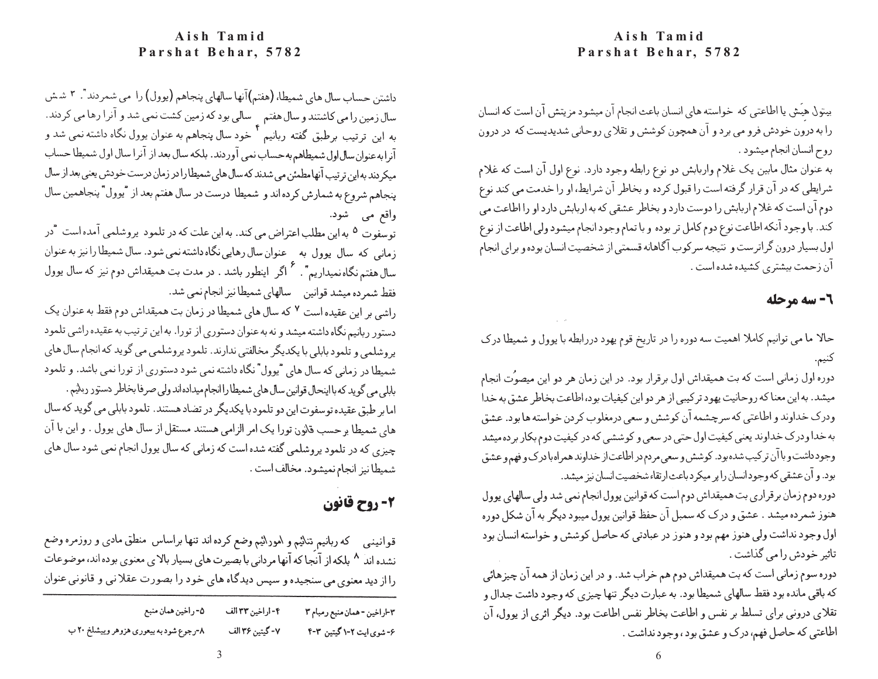#### **Aish Tamid Parshat Behar, 5782**

بیتول هِیَش یا اطاعتی که خواسته های انسان باعث انجام آن میشود مزیتش آن است که انسان را به درون خودش فرو می برد و آن همچون کوشش و تقلای روحانی شدیدیست که در درون روح انسان انجام میشود .

به عنوان مثال مابین یک غلام واربابش دو نوع رابطه وجود دارد. نوع اول آن است که غلام شرایطی که در آن قرار گرفته است را قبول کرده و بخاطر آن شرایط، او را خدمت می کند نوع دوم آن است که غلام اربابش را دوست دارد و بخاطر عشقی که به اربابش دارد او را اطاعت می كند. با وجود آنكه اطاعت نوع دوم كامل تر بوده و با تمام وجود انجام ميشود ولي اطاعت از نوع اول بسیار درون گراترست و نتیجه سرکوب آگاهانه قسمتی از شخصیت انسان بوده و برای انجام آن زحمت بیشتری کشیده شده است .

### 2- سه مرحله

حالا ما می توانیم کاملا اهمیت سه دوره را در تاریخ قوم یهود دررابطه با یوول و شمیطا درک كنيم.

دوره اول زمانی است که بت همیقداش اول برقرار بود. در این زمان هر دو این میصوُت انجام میشد. به این معنا که روحانیت یهود ترکیبی از هر دو این کیفیات بود، اطاعت بخاطر عشق به خدا ودرک خداوند و اطاعتی که سرچشمه آن کوشش و سعی درمغلوب کردن خواسته ها بود. عشق به خدا ودرک خداوند یعنی کیفیت اول حتی در سعی و کوششی که در کیفیت دوم بکار برده میشد وجود داشت و با آن ترکیب شده بود. کوشش و سعی مردم در اطاعت از خداوند همراه با درک و فهم و عشق بود. و آن عشقی که وجودانسان را پر میکرد باعث ارتقاء شخصیت انسان نیز میشد.

دوره دوم زمان برقراری بت همیقداش دوم است که قوانین پوول انجام نمی شد ولی سالهای پوول هنوز شمرده میشد . عشق و درک که سمبل آن حفظ قوانین یوول میبود دیگر به آن شکل دوره اول وجود نداشت ولي هنوز مهم بود و هنوز در عبادتي كه حاصل كوشش و خواسته انسان بود تاثیر خودش را می گذاشت .

دوره سوم زمانی است که بت همیقداش دوم هم خراب شد. و در این زمان از همه آن چیزهائی که باقی مانده بود فقط سالهای شمیطا بود. به عبارت دیگر تنها چیزی که وجود داشت جدال و تقلای درونی برای تسلط بر نفس و اطاعت بخاطر نفس اطاعت بود. دیگر اثری از یوول، آن اطاعتي كه حاصل فهم، درك و عشق بود ، وجود نداشت .

#### **Aish Tamid Parshat Behar, 5782**

داشتن حساب سال های شمیطا، (هفتم)آنها سالهای پنجاهم (یوول) را می شمردند". ۳ شش سال زمین را می کاشتند و سال هفتم م<sup>ا</sup> سالی بود که زمین کشت نمی شد و آنرا رها می کردند.<br>به این اترتیب برطبق گفته اربانیم <sup>۴</sup> خود سال پنجاهم به عنوان یوول نگاه داشته نمی شد و آنرا به عنوان سال اول شمیطاهم به حساب نمی آوردند. بلکه سال بعد از آنرا سال اول شمیطا حساب میکردند به این ترتیب آنها مطمئن می شدند که سال های شمیطا را در زمان درست خودش یعنی بعد از سال پنجاهم شروع به شمارش كرده اند و شميطا درست در سال هفتم بعد از "يوول" پنجاهمين سال واقع مي شود.

توسفوت <sup>۵</sup> به این مطلب اعتراض می کند. به این علت که در تلمود پروشلمی آمده است "در زمانی که سال پوول به معنوان سال رهایی نگاه داشته نمی شود. سال شمیطا را نیز به عنوان سال هفتم نگاه نمیداریم " . " اگر اینطور باشد . در مدت بت همیقداش دوم نیز که سال یوول فقط شمرده میشد قوانین مسالهای شمیطا نیز انجام نمی شد.

راشی بر این عقیده است ۷ که سال های شمیطا در زمان بت همیقداش دوم فقط به عنوان یک دستور ربانیم نگاه داشته میشد و نه به عنوان دستوری از تورا. به این ترتیب به عقیده راشی تلمود یروشلمی و تلمود بابلی با یکدیگر مخالفتی ندارند. تلمود پروشلمی می گوید که انجام سال های شمیطا در زمانی که سال های "یوول" نگاه داشته نمی شود دستوری از تورا نمی باشد. و تلمود بابلی می گوید که با اینحال قوانین سال های شمیطا را انجام میداده اند ولی صرفا بخاطر دستور ربانیم . اما بر طبق عقیده توسفوت این دو تلمود با یکدیگر در تضاد هستند. تلمود بابلی می گوید که سال های شمیطا برحسب قانون تورا یک امر الزامی هستند مستقل از سال های یوول . و این با آن چیزی که در تلمود پروشلمی گفته شده است که زمانی که سال پوول انجام نمی شود سال های شميطا نيز انجام نميشود. مخالف است .

## 2- روح قانون

قوانینمی که ربانیم تنائیم و امورائیم وضع کرده اند تنها براساس منطق مادی و روزمره وضع نشده اند ^ بلکه از آنجا که آنها مردانی با بصیرت های بسیار بالای معنوی بوده اند، موضوعات را از دید معنوی می سنجیده و سپس دیدگاه های خود را بصورت عقلانی و قانونی عنوان

| ٥- راخين همان منبع                     | ۴- اراخين ٣٣ الف | ٣-اراخين - همان منبع رمبام ٣ |
|----------------------------------------|------------------|------------------------------|
| ۸-رجوع شود به بیعوری هزوهر وییشلخ ۲۰ ب | ٧- گيتين ٣۶ الف  | ۶- شوی ایت ۲-۱ گیتین ۳-۴     |